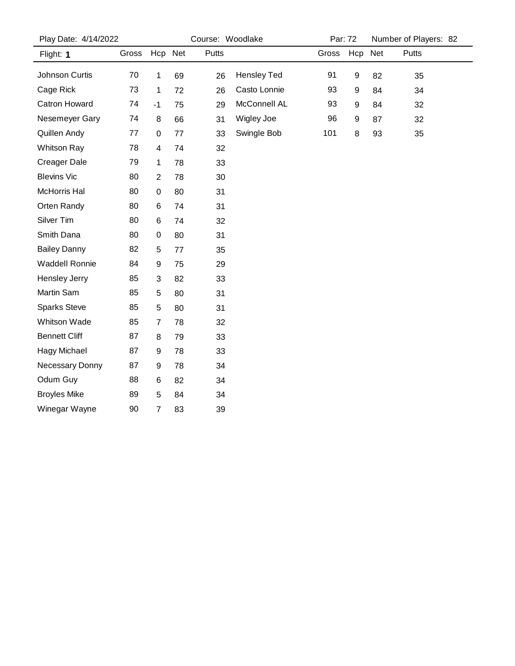| Play Date: 4/14/2022  |       |                | Course: Woodlake |       |                    |       | Par: 72 |    | Number of Players: 82 |  |
|-----------------------|-------|----------------|------------------|-------|--------------------|-------|---------|----|-----------------------|--|
| Flight: 1             | Gross | Hcp Net        |                  | Putts |                    | Gross | Hcp Net |    | <b>Putts</b>          |  |
| Johnson Curtis        | 70    | 1              | 69               | 26    | <b>Hensley Ted</b> | 91    | 9       | 82 | 35                    |  |
| Cage Rick             | 73    | 1              | 72               | 26    | Casto Lonnie       | 93    | 9       | 84 | 34                    |  |
| <b>Catron Howard</b>  | 74    | $-1$           | 75               | 29    | McConnell AL       | 93    | 9       | 84 | 32                    |  |
| Nesemeyer Gary        | 74    | 8              | 66               | 31    | Wigley Joe         | 96    | 9       | 87 | 32                    |  |
| Quillen Andy          | 77    | $\pmb{0}$      | 77               | 33    | Swingle Bob        | 101   | 8       | 93 | 35                    |  |
| <b>Whitson Ray</b>    | 78    | 4              | 74               | 32    |                    |       |         |    |                       |  |
| <b>Creager Dale</b>   | 79    | 1              | 78               | 33    |                    |       |         |    |                       |  |
| <b>Blevins Vic</b>    | 80    | $\overline{c}$ | 78               | 30    |                    |       |         |    |                       |  |
| McHorris Hal          | 80    | $\mathbf 0$    | 80               | 31    |                    |       |         |    |                       |  |
| Orten Randy           | 80    | 6              | 74               | 31    |                    |       |         |    |                       |  |
| Silver Tim            | 80    | 6              | 74               | 32    |                    |       |         |    |                       |  |
| Smith Dana            | 80    | 0              | 80               | 31    |                    |       |         |    |                       |  |
| <b>Bailey Danny</b>   | 82    | 5              | 77               | 35    |                    |       |         |    |                       |  |
| <b>Waddell Ronnie</b> | 84    | 9              | 75               | 29    |                    |       |         |    |                       |  |
| Hensley Jerry         | 85    | 3              | 82               | 33    |                    |       |         |    |                       |  |
| Martin Sam            | 85    | 5              | 80               | 31    |                    |       |         |    |                       |  |
| <b>Sparks Steve</b>   | 85    | 5              | 80               | 31    |                    |       |         |    |                       |  |
| Whitson Wade          | 85    | $\overline{7}$ | 78               | 32    |                    |       |         |    |                       |  |
| <b>Bennett Cliff</b>  | 87    | 8              | 79               | 33    |                    |       |         |    |                       |  |
| Hagy Michael          | 87    | 9              | 78               | 33    |                    |       |         |    |                       |  |
| Necessary Donny       | 87    | 9              | 78               | 34    |                    |       |         |    |                       |  |
| Odum Guy              | 88    | 6              | 82               | 34    |                    |       |         |    |                       |  |
| <b>Broyles Mike</b>   | 89    | 5              | 84               | 34    |                    |       |         |    |                       |  |
| Winegar Wayne         | 90    | $\overline{7}$ | 83               | 39    |                    |       |         |    |                       |  |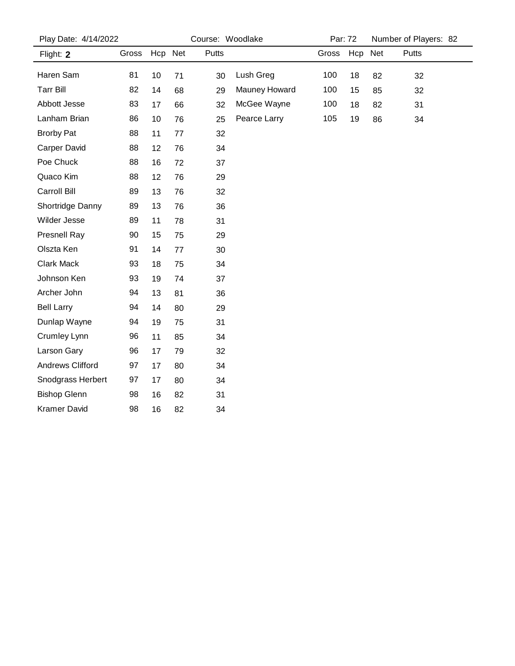| Play Date: 4/14/2022 |       |         | Course: Woodlake |              |               | Par: 72 |         | Number of Players: 82 |       |  |
|----------------------|-------|---------|------------------|--------------|---------------|---------|---------|-----------------------|-------|--|
| Flight: 2            | Gross | Hcp Net |                  | <b>Putts</b> |               | Gross   | Hcp Net |                       | Putts |  |
| Haren Sam            | 81    | 10      | 71               | 30           | Lush Greg     | 100     | 18      | 82                    | 32    |  |
| <b>Tarr Bill</b>     | 82    | 14      | 68               | 29           | Mauney Howard | 100     | 15      | 85                    | 32    |  |
| Abbott Jesse         | 83    | 17      | 66               | 32           | McGee Wayne   | 100     | 18      | 82                    | 31    |  |
| Lanham Brian         | 86    | 10      | 76               | 25           | Pearce Larry  | 105     | 19      | 86                    | 34    |  |
| <b>Brorby Pat</b>    | 88    | 11      | 77               | 32           |               |         |         |                       |       |  |
| Carper David         | 88    | 12      | 76               | 34           |               |         |         |                       |       |  |
| Poe Chuck            | 88    | 16      | 72               | 37           |               |         |         |                       |       |  |
| Quaco Kim            | 88    | 12      | 76               | 29           |               |         |         |                       |       |  |
| Carroll Bill         | 89    | 13      | 76               | 32           |               |         |         |                       |       |  |
| Shortridge Danny     | 89    | 13      | 76               | 36           |               |         |         |                       |       |  |
| Wilder Jesse         | 89    | 11      | 78               | 31           |               |         |         |                       |       |  |
| Presnell Ray         | 90    | 15      | 75               | 29           |               |         |         |                       |       |  |
| Olszta Ken           | 91    | 14      | 77               | 30           |               |         |         |                       |       |  |
| Clark Mack           | 93    | 18      | 75               | 34           |               |         |         |                       |       |  |
| Johnson Ken          | 93    | 19      | 74               | 37           |               |         |         |                       |       |  |
| Archer John          | 94    | 13      | 81               | 36           |               |         |         |                       |       |  |
| <b>Bell Larry</b>    | 94    | 14      | 80               | 29           |               |         |         |                       |       |  |
| Dunlap Wayne         | 94    | 19      | 75               | 31           |               |         |         |                       |       |  |
| Crumley Lynn         | 96    | 11      | 85               | 34           |               |         |         |                       |       |  |
| Larson Gary          | 96    | 17      | 79               | 32           |               |         |         |                       |       |  |
| Andrews Clifford     | 97    | 17      | 80               | 34           |               |         |         |                       |       |  |
| Snodgrass Herbert    | 97    | 17      | 80               | 34           |               |         |         |                       |       |  |
| <b>Bishop Glenn</b>  | 98    | 16      | 82               | 31           |               |         |         |                       |       |  |
| <b>Kramer David</b>  | 98    | 16      | 82               | 34           |               |         |         |                       |       |  |